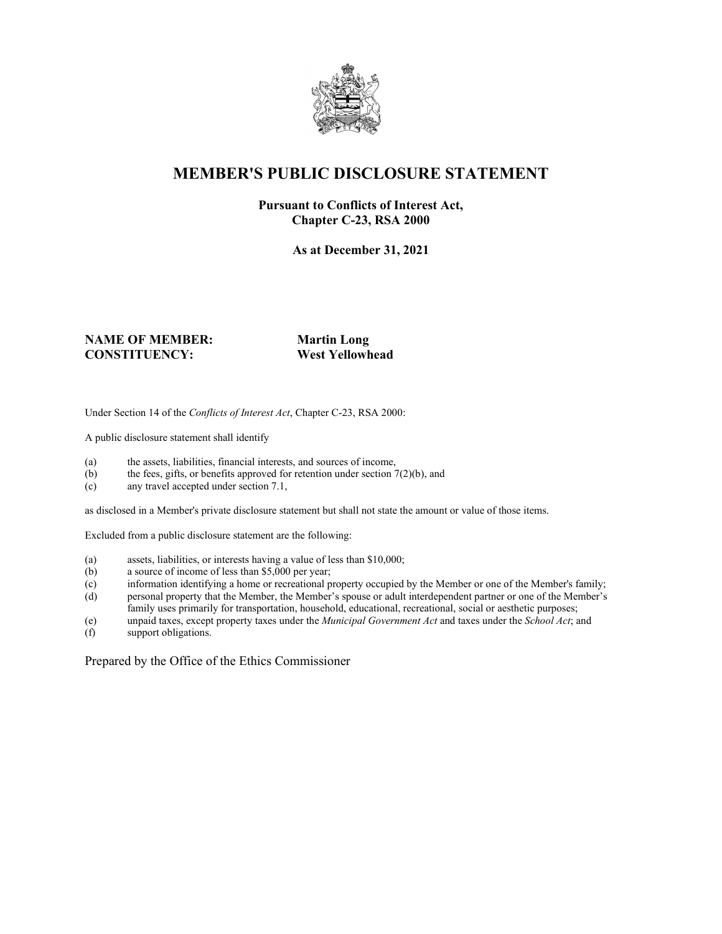

### **MEMBER'S PUBLIC DISCLOSURE STATEMENT**

#### **Pursuant to Conflicts of Interest Act, Chapter C-23, RSA 2000**

**As at December 31, 2021**

#### **NAME OF MEMBER: Martin Long CONSTITUENCY: West Yellowhead**

Under Section 14 of the *Conflicts of Interest Act*, Chapter C-23, RSA 2000:

A public disclosure statement shall identify

- (a) the assets, liabilities, financial interests, and sources of income,
- (b) the fees, gifts, or benefits approved for retention under section  $7(2)(b)$ , and
- (c) any travel accepted under section 7.1,

as disclosed in a Member's private disclosure statement but shall not state the amount or value of those items.

Excluded from a public disclosure statement are the following:

- (a) assets, liabilities, or interests having a value of less than \$10,000;
- (b) a source of income of less than \$5,000 per year;
- (c) information identifying a home or recreational property occupied by the Member or one of the Member's family;
- (d) personal property that the Member, the Member's spouse or adult interdependent partner or one of the Member's family uses primarily for transportation, household, educational, recreational, social or aesthetic purposes;
- (e) unpaid taxes, except property taxes under the *Municipal Government Act* and taxes under the *School Act*; and
- support obligations.

Prepared by the Office of the Ethics Commissioner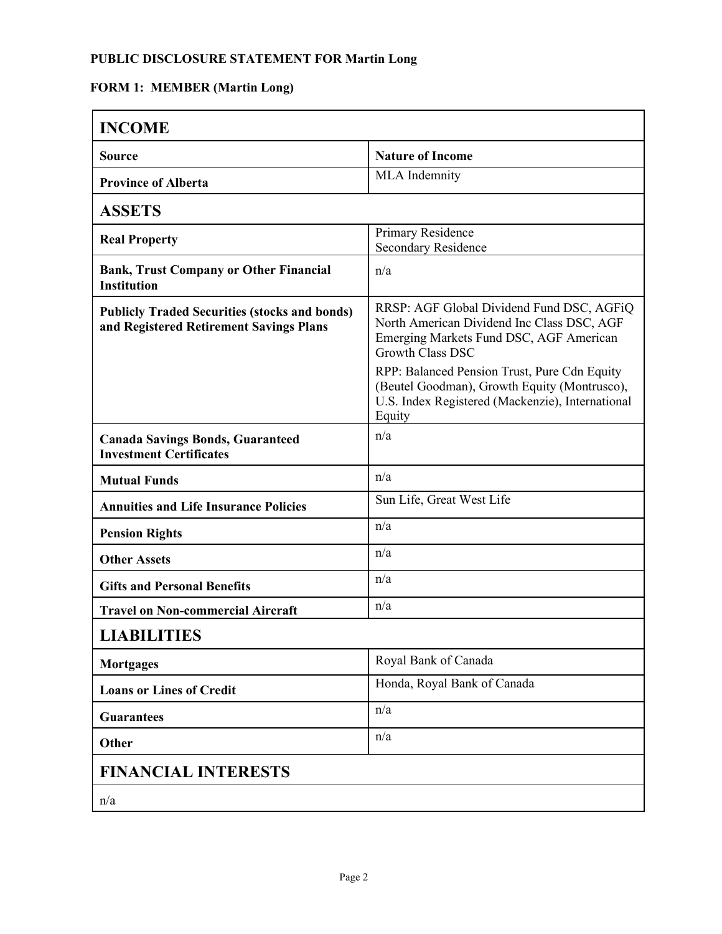### **PUBLIC DISCLOSURE STATEMENT FOR Martin Long**

## **FORM 1: MEMBER (Martin Long)**

| <b>INCOME</b>                                                                                   |                                                                                                                                                                                                               |
|-------------------------------------------------------------------------------------------------|---------------------------------------------------------------------------------------------------------------------------------------------------------------------------------------------------------------|
| <b>Source</b>                                                                                   | <b>Nature of Income</b>                                                                                                                                                                                       |
| <b>Province of Alberta</b>                                                                      | <b>MLA</b> Indemnity                                                                                                                                                                                          |
| <b>ASSETS</b>                                                                                   |                                                                                                                                                                                                               |
| <b>Real Property</b>                                                                            | Primary Residence<br><b>Secondary Residence</b>                                                                                                                                                               |
| <b>Bank, Trust Company or Other Financial</b><br><b>Institution</b>                             | n/a                                                                                                                                                                                                           |
| <b>Publicly Traded Securities (stocks and bonds)</b><br>and Registered Retirement Savings Plans | RRSP: AGF Global Dividend Fund DSC, AGFiQ<br>North American Dividend Inc Class DSC, AGF<br>Emerging Markets Fund DSC, AGF American<br><b>Growth Class DSC</b><br>RPP: Balanced Pension Trust, Pure Cdn Equity |
|                                                                                                 | (Beutel Goodman), Growth Equity (Montrusco),<br>U.S. Index Registered (Mackenzie), International<br>Equity                                                                                                    |
| <b>Canada Savings Bonds, Guaranteed</b><br><b>Investment Certificates</b>                       | n/a                                                                                                                                                                                                           |
| <b>Mutual Funds</b>                                                                             | n/a                                                                                                                                                                                                           |
| <b>Annuities and Life Insurance Policies</b>                                                    | Sun Life, Great West Life                                                                                                                                                                                     |
| <b>Pension Rights</b>                                                                           | n/a                                                                                                                                                                                                           |
| <b>Other Assets</b>                                                                             | n/a                                                                                                                                                                                                           |
| <b>Gifts and Personal Benefits</b>                                                              | n/a                                                                                                                                                                                                           |
| <b>Travel on Non-commercial Aircraft</b>                                                        | n/a                                                                                                                                                                                                           |
| <b>LIABILITIES</b>                                                                              |                                                                                                                                                                                                               |
| <b>Mortgages</b>                                                                                | Royal Bank of Canada                                                                                                                                                                                          |
| <b>Loans or Lines of Credit</b>                                                                 | Honda, Royal Bank of Canada                                                                                                                                                                                   |
| <b>Guarantees</b>                                                                               | n/a                                                                                                                                                                                                           |
| Other                                                                                           | n/a                                                                                                                                                                                                           |
| <b>FINANCIAL INTERESTS</b>                                                                      |                                                                                                                                                                                                               |
| n/a                                                                                             |                                                                                                                                                                                                               |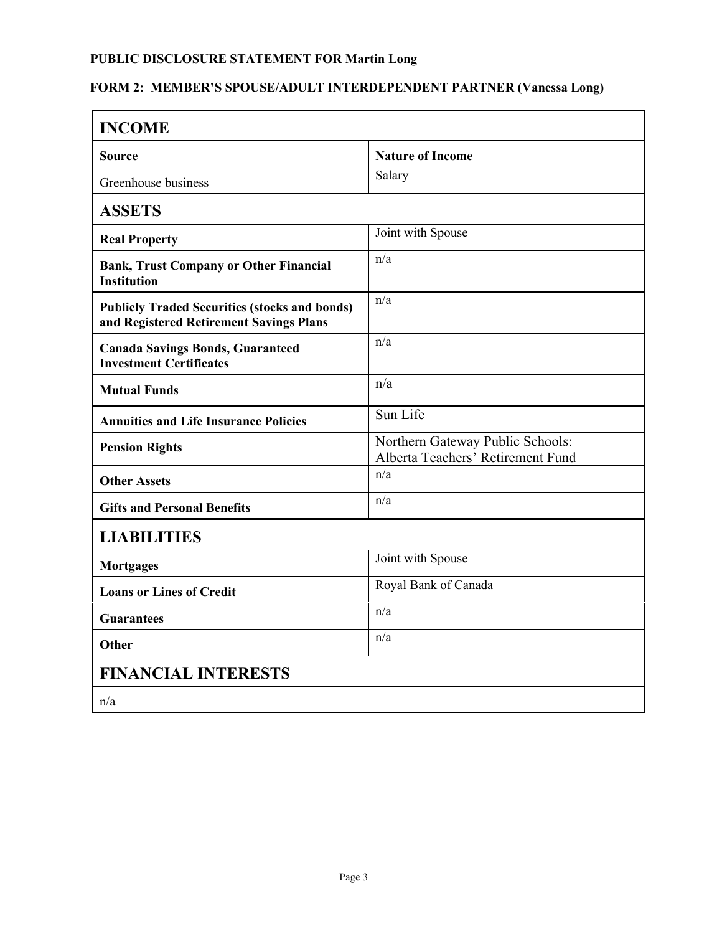# **PUBLIC DISCLOSURE STATEMENT FOR Martin Long**

# **FORM 2: MEMBER'S SPOUSE/ADULT INTERDEPENDENT PARTNER (Vanessa Long)**

| <b>INCOME</b>                                                                                   |                                                                       |  |
|-------------------------------------------------------------------------------------------------|-----------------------------------------------------------------------|--|
| Source                                                                                          | <b>Nature of Income</b>                                               |  |
| Greenhouse business                                                                             | Salary                                                                |  |
| <b>ASSETS</b>                                                                                   |                                                                       |  |
| <b>Real Property</b>                                                                            | Joint with Spouse                                                     |  |
| <b>Bank, Trust Company or Other Financial</b><br><b>Institution</b>                             | n/a                                                                   |  |
| <b>Publicly Traded Securities (stocks and bonds)</b><br>and Registered Retirement Savings Plans | n/a                                                                   |  |
| <b>Canada Savings Bonds, Guaranteed</b><br><b>Investment Certificates</b>                       | n/a                                                                   |  |
| <b>Mutual Funds</b>                                                                             | n/a                                                                   |  |
| <b>Annuities and Life Insurance Policies</b>                                                    | Sun Life                                                              |  |
| <b>Pension Rights</b>                                                                           | Northern Gateway Public Schools:<br>Alberta Teachers' Retirement Fund |  |
| <b>Other Assets</b>                                                                             | n/a                                                                   |  |
| <b>Gifts and Personal Benefits</b>                                                              | n/a                                                                   |  |
| <b>LIABILITIES</b>                                                                              |                                                                       |  |
| <b>Mortgages</b>                                                                                | Joint with Spouse                                                     |  |
| <b>Loans or Lines of Credit</b>                                                                 | Royal Bank of Canada                                                  |  |
| <b>Guarantees</b>                                                                               | n/a                                                                   |  |
| Other                                                                                           | n/a                                                                   |  |
| <b>FINANCIAL INTERESTS</b>                                                                      |                                                                       |  |
| n/a                                                                                             |                                                                       |  |